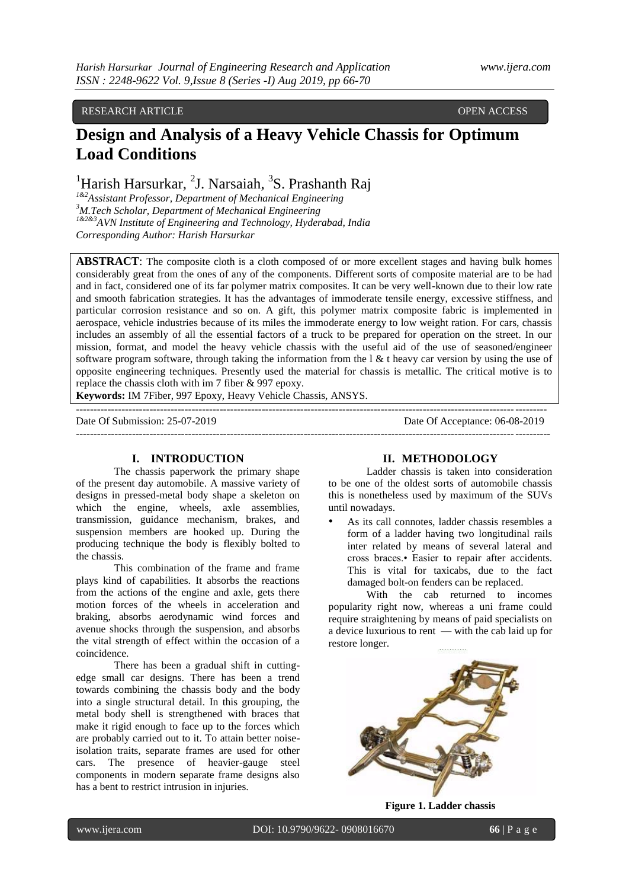# RESEARCH ARTICLE **CONSERVERS** OPEN ACCESS OPEN ACCESS

# **Design and Analysis of a Heavy Vehicle Chassis for Optimum Load Conditions**

# <sup>1</sup>Harish Harsurkar, <sup>2</sup>J. Narsaiah, <sup>3</sup>S. Prashanth Raj

*1&2Assistant Professor, Department of Mechanical Engineering <sup>3</sup>M.Tech Scholar, Department of Mechanical Engineering 1&2&3AVN Institute of Engineering and Technology, Hyderabad, India Corresponding Author: Harish Harsurkar*

**ABSTRACT**: The composite cloth is a cloth composed of or more excellent stages and having bulk homes considerably great from the ones of any of the components. Different sorts of composite material are to be had and in fact, considered one of its far polymer matrix composites. It can be very well-known due to their low rate and smooth fabrication strategies. It has the advantages of immoderate tensile energy, excessive stiffness, and particular corrosion resistance and so on. A gift, this polymer matrix composite fabric is implemented in aerospace, vehicle industries because of its miles the immoderate energy to low weight ration. For cars, chassis includes an assembly of all the essential factors of a truck to be prepared for operation on the street. In our mission, format, and model the heavy vehicle chassis with the useful aid of the use of seasoned/engineer software program software, through taking the information from the  $\ell \& \ell$  heavy car version by using the use of opposite engineering techniques. Presently used the material for chassis is metallic. The critical motive is to replace the chassis cloth with im 7 fiber & 997 epoxy.

--------------------------------------------------------------------------------------------------------------------------------------

**Keywords:** IM 7Fiber, 997 Epoxy, Heavy Vehicle Chassis, ANSYS.

Date Of Submission: 25-07-2019 Date Of Acceptance: 06-08-2019 ---------------------------------------------------------------------------------------------------------------------------------------

### **I. INTRODUCTION**

The chassis paperwork the primary shape of the present day automobile. A massive variety of designs in pressed-metal body shape a skeleton on which the engine, wheels, axle assemblies, transmission, guidance mechanism, brakes, and suspension members are hooked up. During the producing technique the body is flexibly bolted to the chassis.

This combination of the frame and frame plays kind of capabilities. It absorbs the reactions from the actions of the engine and axle, gets there motion forces of the wheels in acceleration and braking, absorbs aerodynamic wind forces and avenue shocks through the suspension, and absorbs the vital strength of effect within the occasion of a coincidence.

There has been a gradual shift in cuttingedge small car designs. There has been a trend towards combining the chassis body and the body into a single structural detail. In this grouping, the metal body shell is strengthened with braces that make it rigid enough to face up to the forces which are probably carried out to it. To attain better noiseisolation traits, separate frames are used for other cars. The presence of heavier-gauge steel components in modern separate frame designs also has a bent to restrict intrusion in injuries.

#### **II. METHODOLOGY**

Ladder chassis is taken into consideration to be one of the oldest sorts of automobile chassis this is nonetheless used by maximum of the SUVs until nowadays.

As its call connotes, ladder chassis resembles a form of a ladder having two longitudinal rails inter related by means of several lateral and cross braces.• Easier to repair after accidents. This is vital for taxicabs, due to the fact damaged bolt-on fenders can be replaced.

With the cab returned to incomes popularity right now, whereas a uni frame could require straightening by means of paid specialists on a device luxurious to rent — with the cab laid up for restore longer.



**Figure 1. Ladder chassis**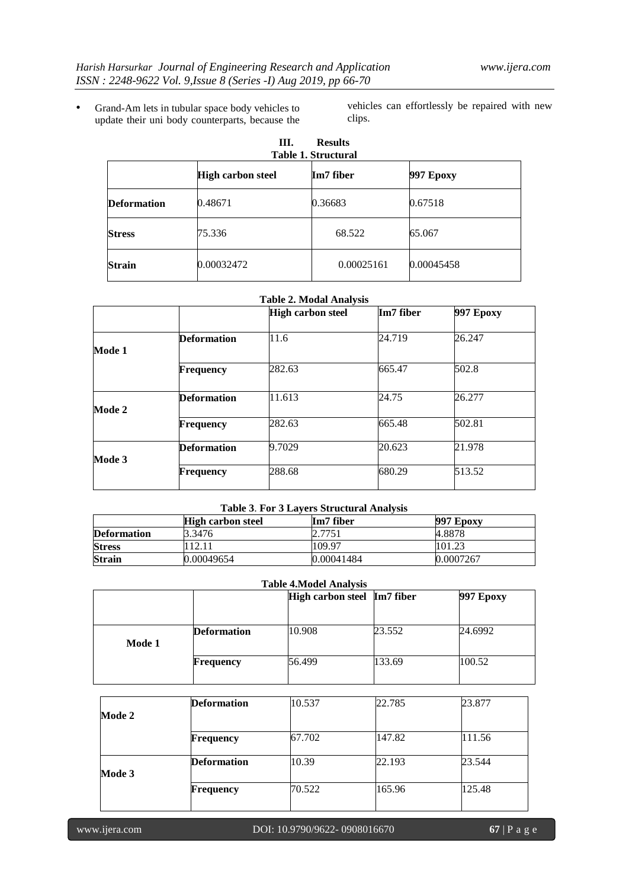• Grand-Am lets in tubular space body vehicles to update their uni body counterparts, because the

vehicles can effortlessly be repaired with new clips.

| III.<br><b>Results</b><br><b>Table 1. Structural</b> |                          |            |            |  |
|------------------------------------------------------|--------------------------|------------|------------|--|
|                                                      | <b>High carbon steel</b> | Im7 fiber  | 997 Ероху  |  |
| <b>Deformation</b>                                   | 0.48671                  | 0.36683    | 0.67518    |  |
| <b>Stress</b>                                        | 75.336                   | 68.522     | 65.067     |  |
| <b>Strain</b>                                        | 0.00032472               | 0.00025161 | 0.00045458 |  |

#### **Table 2. Modal Analysis**

|        |                    | <b>High carbon steel</b> | Im7 fiber | <b>997 Epoxy</b> |
|--------|--------------------|--------------------------|-----------|------------------|
|        |                    |                          |           |                  |
|        | <b>Deformation</b> | 11.6                     | 24.719    | 26.247           |
| Mode 1 |                    |                          |           |                  |
|        | <b>Frequency</b>   | 282.63                   | 665.47    | 502.8            |
| Mode 2 | <b>Deformation</b> | 11.613                   | 24.75     | 26.277           |
|        | <b>Frequency</b>   | 282.63                   | 665.48    | 502.81           |
| Mode 3 | <b>Deformation</b> | 9.7029                   | 20.623    | 21.978           |
|        | <b>Frequency</b>   | 288.68                   | 680.29    | 513.52           |

# **Table 3**. **For 3 Layers Structural Analysis**

|                    | <b>High carbon steel</b> | Im7 fiber  | 997 Epoxy |
|--------------------|--------------------------|------------|-----------|
| <b>Deformation</b> | 3.3476                   | 2.7751     | 4.8878    |
| <b>Stress</b>      | 12.11                    | 109.97     | 101.23    |
| <b>Strain</b>      | 0.00049654               | 0.00041484 | 0.0007267 |

# **Table 4.Model Analysis**

|        |                    | High carbon steel Im7 fiber |        | <b>997 Epoxy</b> |
|--------|--------------------|-----------------------------|--------|------------------|
|        |                    |                             |        |                  |
| Mode 1 | <b>Deformation</b> | 10.908                      | 23.552 | 24.6992          |
|        | <b>Frequency</b>   | 56.499                      | 133.69 | 100.52           |

|        | <b>Deformation</b> | 10.537 | 22.785 | 23.877 |
|--------|--------------------|--------|--------|--------|
| Mode 2 |                    |        |        |        |
|        | <b>Frequency</b>   | 67.702 | 147.82 | 111.56 |
| Mode 3 | <b>Deformation</b> | 10.39  | 22.193 | 23.544 |
|        | <b>Frequency</b>   | 70.522 | 165.96 | 125.48 |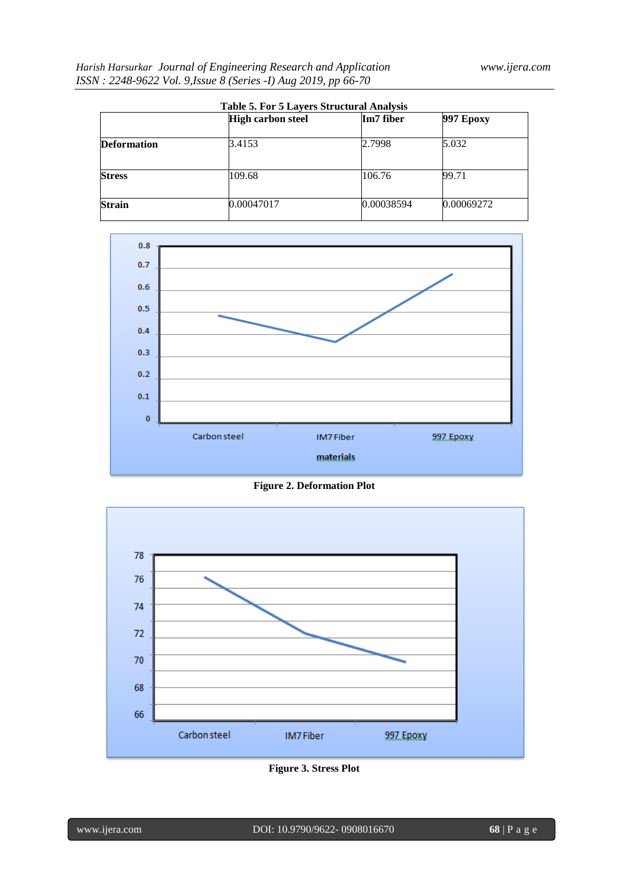| <b>Table 5. For 5 Layers Structural Analysis</b> |                          |            |                  |  |  |
|--------------------------------------------------|--------------------------|------------|------------------|--|--|
|                                                  | <b>High carbon steel</b> | Im7 fiber  | <b>997 Epoxy</b> |  |  |
| <b>Deformation</b>                               | 3.4153                   | 2.7998     | 5.032            |  |  |
| <b>Stress</b>                                    | 109.68                   | 106.76     | 99.71            |  |  |
| <b>Strain</b>                                    | 0.00047017               | 0.00038594 | 0.00069272       |  |  |



**Figure 2. Deformation Plot**



**Figure 3. Stress Plot**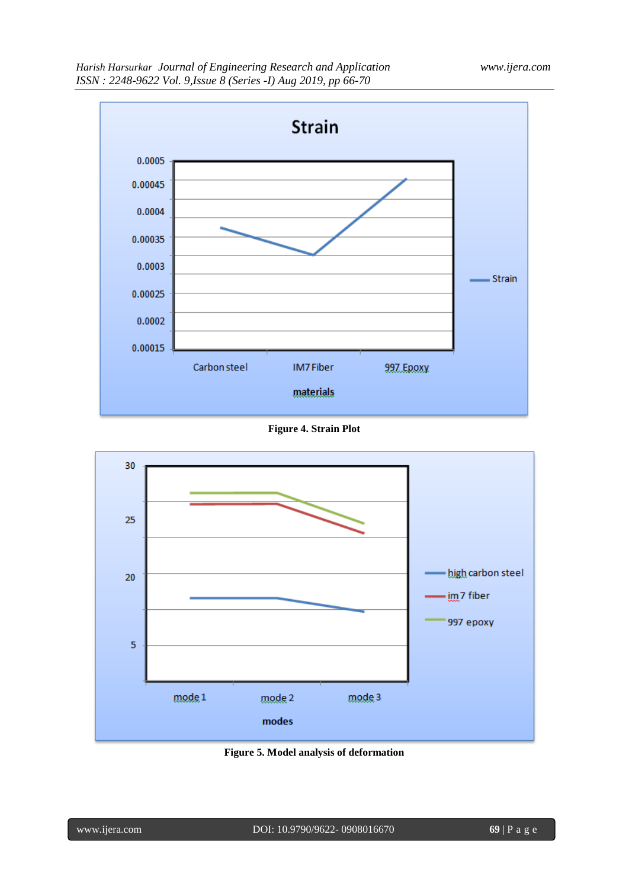

**Figure 4. Strain Plot**



**Figure 5. Model analysis of deformation**